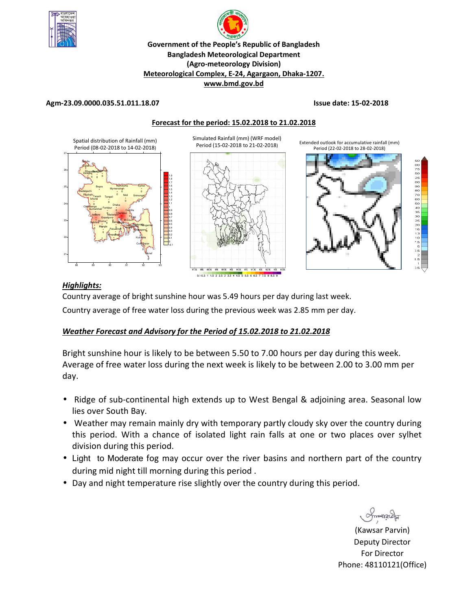



**Meteorological Complex, E-24, Agargaon, Dhaka-1207.** 

**www.bmd.gov.bd** 

### **Agm-23.09.0000.035.51.011.18.07 Issue date: 15-02-2018**

**Forecast for the period: 15.02.2018 to 21.02.2018**



## *Highlights:*

Country average of bright sunshine hour was 5.49 hours per day during last week.

Country average of free water loss during the previous week was 2.85 mm per day.

# *Weather Forecast and Advisory for the Period of 15.02.2018 to 21.02.2018*

Bright sunshine hour is likely to be between 5.50 to 7.00 hours per day during this week. Average of free water loss during the next week is likely to be between 2.00 to 3.00 mm per day.

- Ridge of sub-continental high extends up to West Bengal & adjoining area. Seasonal low lies over South Bay.
- Weather may remain mainly dry with temporary partly cloudy sky over the country during this period. With a chance of isolated light rain falls at one or two places over sylhet division during this period.
- Light to Moderate fog may occur over the river basins and northern part of the country during mid night till morning during this period .
- Day and night temperature rise slightly over the country during this period.

Smanacla

(Kawsar Parvin) Deputy Director For Director Phone: 48110121(Office)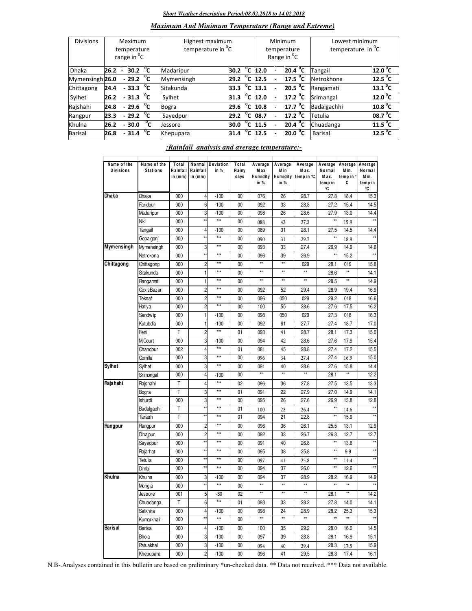#### *Short Weather description Period:08.02.2018 to 14.02.2018*

### *Maximum And Minimum Temperature (Range and Extreme)*

| <b>Divisions</b> | Maximum<br>temperature<br>range in <sup>o</sup> C |                |                          |              | Highest maximum<br>temperature in <sup>o</sup> C |      |              |                       | Minimum<br>temperature<br>Range in <sup>o</sup> C | Lowest minimum<br>temperature in <sup>"</sup> C |                       |  |
|------------------|---------------------------------------------------|----------------|--------------------------|--------------|--------------------------------------------------|------|--------------|-----------------------|---------------------------------------------------|-------------------------------------------------|-----------------------|--|
| <b>Dhaka</b>     | 26.2                                              | $\blacksquare$ | 30.2 $^{\circ}$ C        |              | Madaripur                                        | 30.2 | °c           | 12.0                  | 20.4 $^{\circ}$ C                                 | <b>Tangail</b>                                  | $12.0^{\circ}$ C      |  |
| Mymensingh 26.0  |                                                   |                | $-29.2\text{ °C}$        |              | Mymensingh                                       | 29.2 | $^{\circ}$ c | 12.5                  | 17.5 $^{\circ}$ C                                 | Netrokhona                                      | 12.5 $\degree$ C      |  |
| Chittagong       | 24.4                                              |                | $-33.3$ $\degree$ C      |              | Sitakunda                                        | 33.3 |              | 13.1                  | 20.5 $^{\circ}$ C                                 | Rangamati                                       | $13.1$ <sup>o</sup> C |  |
| Sylhet           | 26.2                                              |                | $-31.3 °C$               |              | Sylhet                                           | 31.3 |              | $\overline{O}$ C 12.0 | 17.2 $^{\circ}$ C                                 | Srimangal                                       | 12.0 <sup>o</sup> C   |  |
| Rajshahi         | 24.8                                              |                | $-29.6$                  | °c           | <b>Bogra</b>                                     | 29.6 | °c           | 10.8                  | 17.7 $\mathrm{^0C}$                               | Badalgachhi                                     | 10.8 <sup>0</sup> C   |  |
| Rangpur          | 23.3                                              |                | $-29.2\text{ }^{\circ}C$ |              | Sayedpur                                         | 29.2 | °c           | 08.7                  | 17.2 $^{\circ}$ C                                 | Tetulia                                         | 08.7 <sup>0</sup> C   |  |
| Khulna           | 26.2                                              |                | $-30.0$                  | $-0$ C       | Jessore                                          | 30.0 | °c           | 11.5                  | 20.4 $\sqrt[6]{C}$                                | Chuadanga                                       | 11.5 <sup>0</sup> C   |  |
| Barisal          | 26.8                                              |                | 31.4                     | $^{\circ}$ c | Khepupara                                        | 31.4 | $^{\circ}$   | 12.5                  | 20.0 $^{\circ}$ C                                 | Barisal                                         | 12.5 <sup>o</sup> C   |  |

### *:Rainfall analysis and average temperature:-*

| Name of the      | Name of the     | Total               | Normal              | <b>Deviation</b>    | Total           | Average                  | Average        | Average                     | Average                        | Average              | Average                          |
|------------------|-----------------|---------------------|---------------------|---------------------|-----------------|--------------------------|----------------|-----------------------------|--------------------------------|----------------------|----------------------------------|
| <b>Divisions</b> | <b>Stations</b> | Rainfall<br>in (mm) | Rainfall<br>in (mm) | in %                | Rainy<br>days   | M ax<br>Humidity<br>in % | M in<br>in %   | Max.<br>Humidity temp in °C | Normal<br>Max.<br>temp in<br>℃ | Min.<br>temp in<br>С | Normal<br>M in.<br>temp in<br>°C |
| Dhaka            | Dhaka           | 000                 | 4                   | $-100$              | 00              | 076                      | 26             | 28.7                        | 27.8                           | 18.4                 | 15.3                             |
|                  | Faridpur        | 000                 | 6                   | $-100$              | 00              | 092                      | 33             | 28.8                        | 27.2                           | 15.4                 | 14.5                             |
|                  | Madaripur       | 000                 | 3                   | $-100$              | 00              | 098                      | 26             | 28.6                        | 27.9                           | 13.0                 | 14.4                             |
|                  | Nikli           | 000                 | ÷.                  | $***$               | 00              | 088                      | 43             | 27.3                        | ŧ۶                             | 15.9                 |                                  |
|                  | Tangail         | 000                 | $\overline{4}$      | $-100$              | 00              | 089                      | 31             | 28.1                        | 27.5                           | 14.5                 | 14.4                             |
|                  | Gopalgonj       | 000                 | ź,                  | $***$               | 00              | 090                      | 31             | 29.7                        |                                | 18.9                 | $\star$                          |
| Mymensingh       | Mymensingh      | 000                 | 3                   | $***$               | 00              | 093                      | 33             | 27.4                        | 26.9                           | 14.9                 | 14.6                             |
|                  | Netrokona       | 000                 | xx                  | $***$               | 00              | 096                      | 39             | 26.9                        | **                             | 15.2                 | $\star$                          |
| Chittagong       | Chittagong      | 000                 | $\overline{c}$      | $***$               | 00              | $\star\star$             | $\star\star$   | 029                         | 28.1                           | 019                  | 15.8                             |
|                  | Sitakunda       | 000                 | 1                   | $\star\star\star$   | 00              | ∗                        | $\overline{1}$ | $\overline{**}$             | 28.6                           | ₩                    | 14.1                             |
|                  | Rangamati       | 000                 | 1                   | $***$               | 00              | $\star\star$             | **             | $\star\star$                | 28.5                           | **                   | 14.9                             |
|                  | Cox'sBazar      | 000                 | $\overline{c}$      | $***$               | 00              | 092                      | 52             | 29.4                        | 28.9                           | 19.4                 | 16.9                             |
|                  | Teknaf          | 000                 | $\overline{c}$      | $***$               | 00              | 096                      | 050            | 029                         | 29.2                           | 018                  | 16.6                             |
|                  | Hatiya          | 000                 | $\overline{c}$      | $***$               | 00              | 100                      | 55             | 28.6                        | 27.6                           | 17.5                 | 16.2                             |
|                  | Sandw ip        | 000                 | 1                   | $-100$              | 00              | 098                      | 050            | 029                         | 27.3                           | 018                  | 16.3                             |
|                  | Kutubdia        | 000                 | 1                   | $-100$              | 00              | 092                      | 61             | 27.7                        | 27.4                           | 18.7                 | 17.0                             |
|                  | Feni            | T                   | $\overline{c}$      | $***$               | 01              | 093                      | 41             | 28.7                        | 28.1                           | 17.3                 | 15.0                             |
|                  | M.Court         | 000                 | 3                   | $-100$              | 00              | 094                      | 42             | 28.6                        | 27.6                           | 17.9                 | 15.4                             |
|                  | Chandpur        | 002                 | 4                   | $***$               | 01              | 081                      | 45             | 28.8                        | 27.4                           | 17.2                 | 15.5                             |
|                  | Comilla         | 000                 | 3                   | $***$               | 00              | 096                      | 34             | 27.4                        | 27.4                           | 16.9                 | 15.0                             |
| Sylhet           | Sylhet          | 000                 | 3                   | $\overline{***}$    | 00              | 091                      | 40             | 28.6                        | 27.6                           | 15.8                 | 14.4                             |
|                  | Srimongal       | 000                 | 4                   | $-100$              | 00              | ∗                        | $\overline{1}$ | $\overline{11}$             | 28.1                           | **                   | 12.2                             |
| Rajshahi         | Rajshahi        | T                   | 4                   | $***$               | 02              | 096                      | 36             | 27.8                        | 27.5                           | 13.5                 | 13.3                             |
|                  | Bogra           | T                   | 3                   | ***                 | 01              | 091                      | 22             | 27.9                        | 27.0                           | 14.9                 | 14.1                             |
|                  | <b>Ishurdi</b>  | 000                 | 3                   | $***$               | 00              | 095                      | 26             | 27.6                        | 26.9                           | 13.8                 | 12.8                             |
|                  | Badalgachi      | Т                   |                     | $\star\star\star$   | 01              | 100                      | 23             | 26.4                        |                                | 14.6                 |                                  |
|                  | Tarash          | Ŧ                   | x,                  | $***$               | 01              | 094                      | 21             | 22.8                        | ¥                              | 15.9                 | $\star$                          |
| Rangpur          | Rangpur         | 000                 | $\overline{c}$      | $***$               | 00              | 096                      | 36             | 26.1                        | 25.5                           | 13.1                 | 12.9                             |
|                  | Dinajpur        | 000                 | $\overline{2}$      | $\star \star \star$ | 00              | 092                      | 33             | 26.7                        | 26.3                           | 12.7                 | 12.7                             |
|                  | Sayedpur        | 000                 | ź,                  | $\star \star \star$ | 00              | 091                      | 40             | 26.8                        | $\star\star$                   | 13.6                 | $\star$                          |
|                  | Rajarhat        | 000                 |                     | $***$               | 00              | 095                      | 38             | 25.8                        |                                | 9.9                  | **                               |
|                  | Tetulia         | 000                 | x                   | $\star \star \star$ | 00              | 097                      | 41             | 25.8                        | $\star$                        | 11.4                 | ×                                |
|                  | Dimla           | 000                 |                     | $\ddot{x}$          | 00              | 094                      | 37             | 26.0                        |                                | 12.6                 |                                  |
| Khulna           | Khulna          | 000                 | 3                   | $-100$              | 00              | 094                      | 37             | 28.9                        | 28.2                           | 16.9                 | 14.9                             |
|                  | Mongla          | 000                 | żś                  | $\star\star\star$   | 00              | **                       | **             | **                          | x,                             | $\star\star$         | $\overline{\ast}$                |
|                  | Jessore         | 001                 | 5                   | -80                 | 02              | $\star\star$             | xx             | $\star\star$                | 28.1                           | xx                   | 14.2                             |
|                  | Chuadanga       | Ŧ                   | $\overline{6}$      | $\ddot{x}$          | 01              | 093                      | 33             | 28.2                        | 27.8                           | 14.0                 | 14.1                             |
|                  | Satkhira        | 000                 | 4                   | $-100$              | 00              | 098                      | 24             | 28.9                        | 28.2                           | 25.3                 | 15.3                             |
|                  | Kumarkhali      | 000                 |                     | $***$               | $\overline{00}$ | $\overline{11}$          | $\star\star$   | $\frac{1}{x+1}$             |                                | $\overline{}$        |                                  |
| <b>Barisal</b>   | <b>Barisal</b>  | 000                 | 4                   | $-100$              | 00              | 100                      | 35             | 29.2                        | 28.0                           | 16.0                 | 14.5                             |
|                  | <b>Bhola</b>    | 000                 | 3                   | $-100$              | $00\,$          | 097                      | 39             | 28.8                        | 28.1                           | 16.9                 | 15.1                             |
|                  | Patuakhali      | 000                 | 3                   | $-100$              | 00              | 094                      | 40             | 29.4                        | 28.3                           | 17.5                 | 15.9                             |
|                  | Khepupara       | 000                 | $\overline{2}$      | $-100$              | 00              | 096                      | 41             | 29.5                        | 28.3                           | 17.4                 | 16.1                             |

N.B-.Analyses contained in this bulletin are based on preliminary \*un-checked data. \*\* Data not received. \*\*\* Data not available.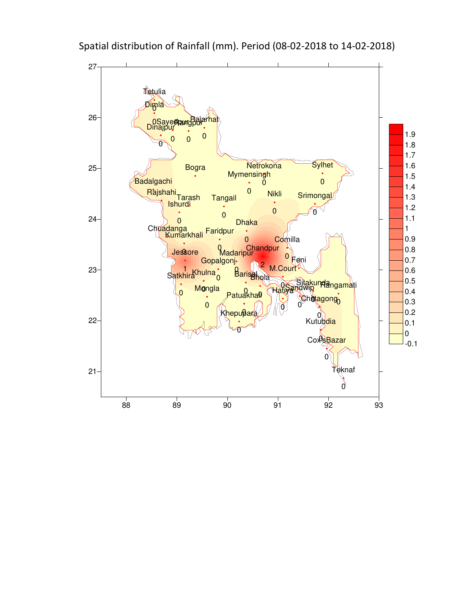

Spatial distribution of Rainfall (mm). Period (08-02-2018 to 14-02-2018)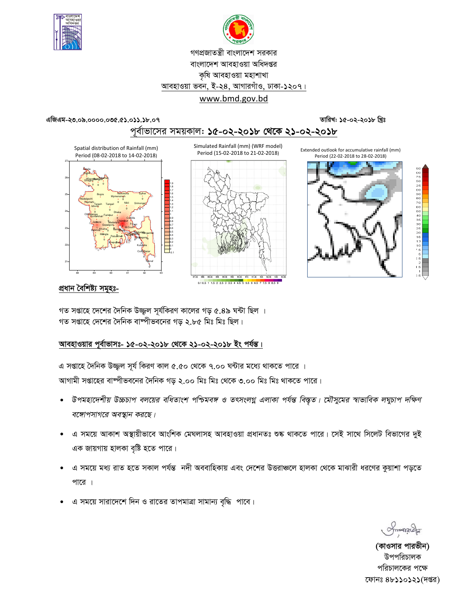



# গণপ্রজাতন্ত্রী বাংলাদেশ সরকার বাংলাদেশ আবহাওয়া অধিদপ্তর কৃষি আবহাওয়া মহাশাখা আবহাওয়া ভবন, ই-২৪, আগারগাঁও, ঢাকা-১২০৭। www.bmd.gov.bd

#### এজিএম-২৩.০৯.০০০০.০৩৫.৫১.০১১.১৮.০৭

### তারিখ: ১৫-০২-২০১৮ খ্রিঃ

# পূর্বাভাসের সময়কাল: ১৫-০২-২০১৮ থেকে ২১-০২-২০১৮

Simulated Rainfall (mm) (WRF model)





0.10.5 1 1.5 2 2.5 3 3.5 4 4.5 5 5.5 6 6.5 7 7.5 8 8.5





## প্ৰধান বৈশিষ্ট্য সমূহঃ-

গত সপ্তাহে দেশের দৈনিক উজ্জল সূর্যকিরণ কালের গড় ৫.৪৯ ঘন্টা ছিল । গত সপ্তাহে দেশের দৈনিক বাষ্পীভবনের গড ২.৮৫ মিঃ মিঃ ছিল।

# আবহাওয়ার পূর্বাভাসঃ- ১৫-০২-২০১৮ থেকে ২১-০২-২০১৮ ইং পর্যন্ত।

এ সপ্তাহে দৈনিক উজ্জুল সূর্য কিরণ কাল ৫.৫০ থেকে ৭.০০ ঘন্টার মধ্যে থাকতে পারে । আগামী সপ্তাহের বাষ্পীভবনের দৈনিক গড় ২.০০ মিঃ মিঃ থেকে ৩.০০ মিঃ মিঃ থাকতে পারে।

- উপমহাদেশীয় উচ্চচাপ বলয়ের বধিতাংশ পশ্চিমবঙ্গ ও তৎসংলগ্ন এলাকা পর্যন্ত বিস্তৃত। মৌসুমের স্বাভাবিক লঘুচাপ দক্ষিণ বঙ্গোপসাগরে অবস্থান করছে।
- এ সময়ে আকাশ অস্থায়ীভাবে আংশিক মেঘলাসহ আবহাওয়া প্রধানতঃ শুষ্ক থাকতে পারে। সেই সাথে সিলেট বিভাগের দুই এক জায়গায় হালকা বৃষ্টি হতে পারে।
- এ সময়ে মধ্য রাত হতে সকাল পর্যন্ত নদী অববাহিকায় এবং দেশের উত্তরাঞ্চলে হালকা থেকে মাঝারী ধরণের কুয়াশা পড়তে পারে ।
- এ সময়ে সারাদেশে দিন ও রাতের তাপমাত্রা সামান্য বৃদ্ধি পাবে।

 $max_{\mathcal{A}}$ 

(কাওসার পারভীন) উপপরিচালক পরিচালকের পক্ষে ফোনঃ ৪৮১১০১২১(দপ্তর)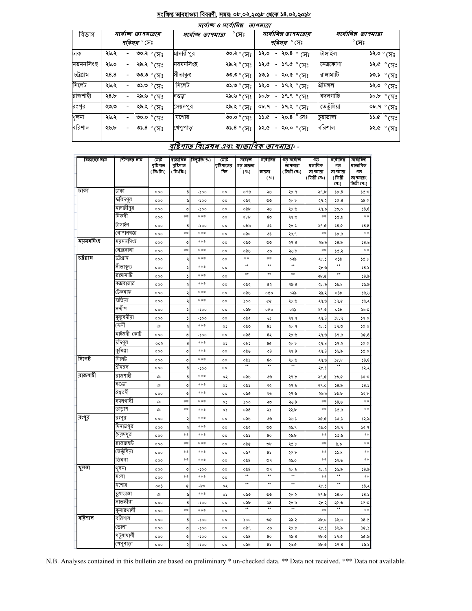### সংক্ষিপ্ত আবহাওয়া বিবরণী, সময়: ০৮.০২.২০১৮ থেকে ১৪.০২.২০১৮

| मार्वाष्क् 3 मार्वानिब्र<br>তাপমাত্রা |      |  |                                           |                    |                     |                                             |  |                                      |                     |  |  |
|---------------------------------------|------|--|-------------------------------------------|--------------------|---------------------|---------------------------------------------|--|--------------------------------------|---------------------|--|--|
| বিভাগ                                 |      |  | সৰ্বোচ্ছ তাপমাত্ৰাৰ<br><i>পরিসর °</i> সেঃ | সর্বোচ্চ তাপমাত্রা | $^\circ$ সেঃ        | সর্বোনিম্ন তাপমাত্রার<br><i>পরিসর °</i> সেঃ |  | সর্বোনিম্ন তাপমাত্রা<br>$^\circ$ সেঃ |                     |  |  |
| ঢাকা                                  | ২৬.২ |  | ৩০.২ ° সেঃ                                | মাদারীপুর          | ৩০.২ ° সেঃ          | ১২.০<br>- २०.8 $^{\circ}$ (সះ               |  | টাঙ্গাইল                             | ১২.০ ° সেঃ          |  |  |
| ময়মনসিংহ                             | ২৬.০ |  | ২৯.২ ° সেঃ                                | ময়মনসিংহ          | ২৯.২ ° সেঃ          | ১২.৫<br>- ১৭.৫ $^{\circ}$ (সঃ               |  | নেত্ৰকোণা                            | ১২.৫ ° (সঃ          |  |  |
| চট্টগ্ৰাম                             | 38.8 |  | ংদ)° ৩.৩৩                                 | সীতাকুণ্ড          | ৩৩.৩ ° (সঃ          | - २०.৫ $^{\circ}$ (সះ<br>১৩.১               |  | রাঙ্গামাটি                           | ১৩.১ ° সেঃ          |  |  |
| সিলেট                                 | ২৬.২ |  | ৩১.৩ $^{\circ}$ (সঃ                       | সিলেট              | ৩১.৩ $^{\circ}$ (সঃ | ১২.০<br>- ১৭.২ $^{\circ}$ সেঃ               |  | শ্ৰীমঙ্গল                            | ১২.০ ° সেঃ          |  |  |
| রাজশাহী                               | 58.5 |  | ২৯.৬ ° সেঃ                                | বগুড়া             | ং৯.৬ ° সেঃ          | $30.5 - 39.9$ $\degree$ (H <sup>2</sup>     |  | বদলগাছি                              | ১০.৮ ° (সঃ          |  |  |
| রংপূর                                 | ২৩.৩ |  | ২৯.২ ° সেঃ                                | সৈয়দপুর           | ২৯.২ ° সেঃ          | ০৮.৭<br>- ১৭.২ $^{\circ}$ সেঃ               |  | তেতুঁলিয়া                           | ০৮.৭ ° সেঃ          |  |  |
| খুলনা                                 | ২৬.২ |  | ৩০.০ $^\circ$ সেঃ                         | যশোর               | ৩০.০ ° সেঃ          | - ২০.৪ <sup>°</sup> সেঃ<br>১১.৫             |  | চয়াডাঙ্গা                           | ১১.৫ $^{\circ}$ (সঃ |  |  |
| বরিশাল                                | ২৬.৮ |  | ৩১.৪ $^{\circ}$ (সঃ                       | খেপুপাড়া          | ৩১.৪ $^{\circ}$ (সঃ | ১২.৫<br>- ২০.০ $^{\circ}$ (সঃ               |  | বরিশাল                               | ১২.৫ ° সেঃ          |  |  |

# বৃষ্টিশাত বিশ্লেষৰ এবং স্বাভাবিক তাপমাত্ৰা -

| বিভাগের নাম | স্টেশনের নাম | মোট<br>বৃষ্টিপাত<br>(মিঃমিঃ) | ষাভাবিক<br>বৃষ্টিপাত<br>(মিঃমিঃ) | বিছ্যুতি(%) | মোট<br>বৃষ্টিপাতের<br>দিন | সৰ্বোচ্ছ<br>গড় আদ্রতা<br>( %) | সর্বোনিম্ন<br>আদ্রতা<br>( %)   | গড় সৰ্বোচ্ছ<br>তাপমাত্রা<br>( ডিগ্ৰী সেঃ) | গড<br>ষভাবিক<br>তাপমাত্রা<br>(ডিগ্ৰী সেঃ) | সৰ্বোনিম্ন<br>গড়<br>তাপমাত্রা<br>(ডিগ্ৰী<br>(সঃ) | সৰ্বোনিম্ন<br>ষাভাবিক<br>গড়<br>তাপমাত্রা(<br>ডিগ্ৰী সেঃ) |
|-------------|--------------|------------------------------|----------------------------------|-------------|---------------------------|--------------------------------|--------------------------------|--------------------------------------------|-------------------------------------------|---------------------------------------------------|-----------------------------------------------------------|
| ঢাকা        | ঢাকা         | 000                          | 8                                | -১০০        | $^{\circ}$                | ০৭৬                            | ২৬                             | ২৮.৭                                       | ২৭.৮                                      | 5b.8                                              | 30.9                                                      |
|             | ফরিদপুর      | 000                          | ৬                                | -200        | $^{\circ}$                | ০৯২                            | ৩৩                             | ২৮.৮                                       | ২৭.২                                      | 56.8                                              | 38.0                                                      |
|             | মাদারীপুর    | 000                          | ৩                                | -১০০        | $^{\circ}$                | ০৯৮                            | ২৬                             | ২৮.৬                                       | ২৭.৯                                      | ১৩.০                                              | 58.8                                                      |
|             | নিকলী        | 000                          | $**$                             | ***         | 00                        | obb                            | 8 <sub>0</sub>                 | ২৭.৩                                       | $**$                                      | ১৫.৯                                              | **                                                        |
|             | টাঙ্গাইল     | 000                          | 8                                | -১০০        | $^{\circ}$                | ০৮৯                            | ৩১                             | ২৮.১                                       | ২৭.৫                                      | 58.0                                              | 58.8                                                      |
|             | গোপালগজ্ঞ    | 000                          | **                               | $***$       | $^{\circ}$                | ০৯০                            | ৩১                             | ২৯.৭                                       | **                                        | ১৮.৯                                              | $\ast\ast$                                                |
| ময়মনসিংহ   | ম্যমনসিংহ    | 000                          | ৩                                | ***         | 00                        | ಂಸಿಲ                           | ৩৩                             | २१.8                                       | ২৬.৯                                      | 58.5                                              | 38.6                                                      |
|             | নেত্ৰকোনা    | 000                          | **                               | ***         | $^{\circ}$                | ০৯৬                            | ৩৯                             | ২৬.৯                                       | $**$                                      | ১৫.২                                              | $\frac{1}{2}$                                             |
| চট্ৰগ্ৰাম   | ঢট্টগ্ৰাম    | 000                          | ২                                | ***         | $^{\circ}$                | $\pm\pm$                       | **                             | ০২৯                                        | ২৮.১                                      | ০১৯                                               | 30.5                                                      |
|             | সীতাকুন্ড    | 000                          | ډ                                | ***         | $^{\circ}$                | $\star\star$                   | $\star\star$                   | $\star\star$                               | ২৮.৬                                      | $\star\star$                                      | 58.5                                                      |
|             | রাঙ্গামার্টি | 000                          | د                                | ***         | $^{\circ}$                | $^{\star\star}$                | $^{\star\star}$                | $^{\star\star}$                            | ২৮.৫                                      | $\star\star$                                      | 58.5                                                      |
|             | কক্সবাজার    | 000                          | ২                                | ***         | $^{\circ}$                | ০৯২                            | G2                             | 25.8                                       | ২৮.৯                                      | 35.8                                              | 3.5.8                                                     |
|             | টেকনাফ       | 000                          | ২                                | ***         | 00                        | ০৯৬                            | oĝo                            | ০২৯                                        | ২৯.২                                      | ০১৮                                               | ১৬.৬                                                      |
|             | হাতিয়া      | 000                          | ২                                | ***         | $^{\circ}$                | 500                            | ¢¢                             | ২৮.৬                                       | ২৭.৬                                      | 59.0                                              | 38.3                                                      |
|             | সন্দ্বীপ     | 000                          | ډ                                | -১০০        | 00                        | ০৯৮                            | oĝo                            | ০২৯                                        | ২৭.৩                                      | osb                                               | 56.0                                                      |
|             | কুতুবদীয়া   | 000                          | ډ                                | -১০০        | $^{\circ}$                | ০৯২                            | ৬১                             | ২৭.৭                                       | 29.8                                      | Sb.9                                              | 59.0                                                      |
|             | ফেনী         | ঞ                            | ২                                | $***$       | ०১                        | ০৯৩                            | 85                             | ২৮.৭                                       | ২৮.১                                      | ১৭.৩                                              | 30.0                                                      |
|             | মাইজদী কোট   | 000                          | ৩                                | -200        | 00                        | ০৯৪                            | 82                             | ২৮.৬                                       | ২৭.৬                                      | ১৭.৯                                              | 30.8                                                      |
|             | চাঁদপুর      | ००२                          | 8                                | ***         | ०১                        | ০৮১                            | 8¢                             | ২৮.৮                                       | 29.8                                      | ১৭.২                                              | 36.0                                                      |
|             | কুমিল্লা     | 000                          | ৩                                | ***         | $^{\circ}$                | ০৯৬                            | ৩8                             | २१.8                                       | ২৭.৪                                      | ১৬.৯                                              | 50.0                                                      |
| সিলেট       | সিলেট        | 000                          | ৩                                | ***         | $^{\circ}$                | ০৯১                            | 80                             | ২৮.৬                                       | ২৭.৬                                      | 36.b                                              | 58.8                                                      |
|             | শ্ৰীমঙ্গল    | 000                          | 8                                | -১০০        | $^{\circ}$                | $**$                           | $\star\star$                   | $**$                                       | ২৮.১                                      | $**$                                              | 32.3                                                      |
| বাজশাহী     | রাজশাইী      | ঞ                            | 8                                | $***$       | ०२                        | ০৯৬                            | ৩৬                             | ২৭.৮                                       | ২৭.৫                                      | 0.06                                              | 50.0                                                      |
|             | বগুডা        | ঞ                            | ৩                                | $***$       | ०১                        | ০৯১                            | ২২                             | ২৭.৯                                       | ২৭.০                                      | 58.5                                              | 58.5                                                      |
|             | ঈশ্বরদী      | 000                          | ৩                                | ***         | $^{\circ}$                | ০৯৫                            | ২৬                             | ২৭.৬                                       | ২৬.৯                                      | 50.b                                              | 32.b                                                      |
|             | বদলগাঘী      | ঞ                            | **                               | ***         | ०১                        | ১০০                            | ২৩                             | 20.8                                       | $**$                                      | 38.6                                              | $\ast\ast$                                                |
|             | তাড়াশ       | ঞ                            | **                               | ***         | ०১                        | ০৯৪                            | ২১                             | ২২.৮                                       | **                                        | 36.5                                              | $\ast\ast$                                                |
| রংপুর       | রংপুর        | 000                          | ډ                                | ***         | $^{\circ}$                | ০৯৬                            | ৩৬                             | ২৬.১                                       | 20.05                                     | 50.5                                              | 32.5                                                      |
|             | দিনাজপুর     | 000                          | Ş                                | ***         | 00                        | ০৯২                            | ৩৩                             | ২৬.৭                                       | ২৬.৩                                      | 32.9                                              | 32.9                                                      |
|             | সেয়দপুর     | 000                          | **                               | ***         | $^{\circ}$                | ০৯১                            | 80                             | ২৬.৮                                       | $\ast\ast$                                | 50.6                                              | $\ast\ast$                                                |
|             | রাজারহাট     | 000                          | **                               | ***         | $^{\circ}$                | ০৯৫                            | ৩৮                             | ২৫.৮                                       | **                                        | ৯.৯                                               | **                                                        |
|             | ভেতুলিয়া    | 000                          | **                               | ***         | $^{\circ}$                | ০৯৭                            | 85                             | ২৫.৮                                       | **                                        | 55.8                                              | **                                                        |
|             | ডিমলা        | 000                          | **                               | $***$       | $^{\circ}$                | ০৯৪                            | $\mathfrak{O} \, \mathfrak{q}$ | ২৬.০                                       | $**$                                      | ১২.৬                                              | **                                                        |
| থুলনা       | খুলনা        | 000                          | ৩                                | -200        | 00                        | ০৯৪<br>$\star\star$            | ৩৭<br>$\star\star$             | ২৮.৯<br>$\star\star$                       | ২৮.২                                      | ১৬.৯<br>$\star\star$                              | 58.5                                                      |
|             | মংলা         | 000                          | **                               | ***         | $^{\circ}$                |                                |                                |                                            | $**$                                      |                                                   | $\frac{1}{2}$                                             |
|             | যশোর         | ००১                          | ¢                                | $-b$ o      | ०२                        | $\star\star$                   | $\star\star$                   | $^{\star\star}$                            | ২৮.১                                      | $^{\star\star}$                                   | 38.3                                                      |
|             | চুয়াডাঙ্গা  | ঞ                            | ৬                                | ***         | ०১                        | ০৯৩                            | ৩৩                             | ২৮.২                                       | ২৭.৮                                      | 58.0                                              | 58.5                                                      |
|             | সাতক্ষীরা    | 000                          | 8                                | -১০০        | $^{\circ}$                | ০৯৮<br>$\overline{1}$          | ২৪<br>$\star\star$             | ২৮.৯<br>$\overline{1}$                     | ২৮.২                                      | ৩.৩۶<br>$\overline{44}$                           | ১৫.৩                                                      |
|             | কুমারথালী    | 000                          | **                               | $***$       | $^{\circ}$                |                                |                                |                                            | $**$                                      |                                                   | $\ast\ast$                                                |
| বরিশাল      | বরিশাল       | 000                          | 8                                | -200        | 00                        | 500                            | ৩৫                             | ২৯.২                                       | ২৮.০                                      | ১৬.০                                              | 58.0                                                      |
|             | ভোলা         | 000                          | ৩                                | -200        | $^{\circ}$                | ০৯৭                            | ৩৯                             | ২৮.৮                                       | ২৮.১                                      | ১৬.৯                                              | 30.3                                                      |
|             | পটুয়াখালী   | 000                          | ৩                                | -১০০        | $^{\circ}$                | $\circ$ ৯৪                     | 80                             | 25.8                                       | ২৮.৩                                      | 59.0                                              | 30.5                                                      |
|             | থেপুণাড়া    | 000                          | ২                                | -১০০        | $^{\circ}$                | ০৯৬                            | $8\sqrt{2}$                    | ২৯.৫                                       | ২৮.৩                                      | 59.8                                              | 50.5                                                      |

N.B. Analyses contained in this bulletin are based on preliminary \* un-checked data. \*\* Data not received. \*\*\* Data not available.